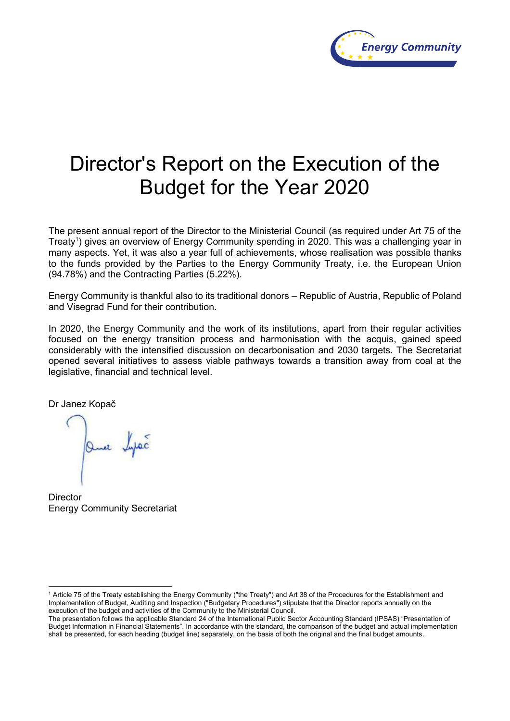

# Director's Report on the Execution of the Budget for the Year 2020

The present annual report of the Director to the Ministerial Council (as required under Art 75 of the Treaty<sup>1</sup>) gives an overview of Energy Community spending in 2020. This was a challenging year in many aspects. Yet, it was also a year full of achievements, whose realisation was possible thanks to the funds provided by the Parties to the Energy Community Treaty, i.e. the European Union (94.78%) and the Contracting Parties (5.22%).

Energy Community is thankful also to its traditional donors – Republic of Austria, Republic of Poland and Visegrad Fund for their contribution.

In 2020, the Energy Community and the work of its institutions, apart from their regular activities focused on the energy transition process and harmonisation with the acquis, gained speed considerably with the intensified discussion on decarbonisation and 2030 targets. The Secretariat opened several initiatives to assess viable pathways towards a transition away from coal at the legislative, financial and technical level.

Dr Janez Kopač

 $\overline{a}$ 

Que bypec

**Director** Energy Community Secretariat

<sup>1</sup> Article 75 of the Treaty establishing the Energy Community ("the Treaty") and Art 38 of the Procedures for the Establishment and Implementation of Budget, Auditing and Inspection ("Budgetary Procedures") stipulate that the Director reports annually on the execution of the budget and activities of the Community to the Ministerial Council.

The presentation follows the applicable Standard 24 of the International Public Sector Accounting Standard (IPSAS) "Presentation of Budget Information in Financial Statements". In accordance with the standard, the comparison of the budget and actual implementation shall be presented, for each heading (budget line) separately, on the basis of both the original and the final budget amounts.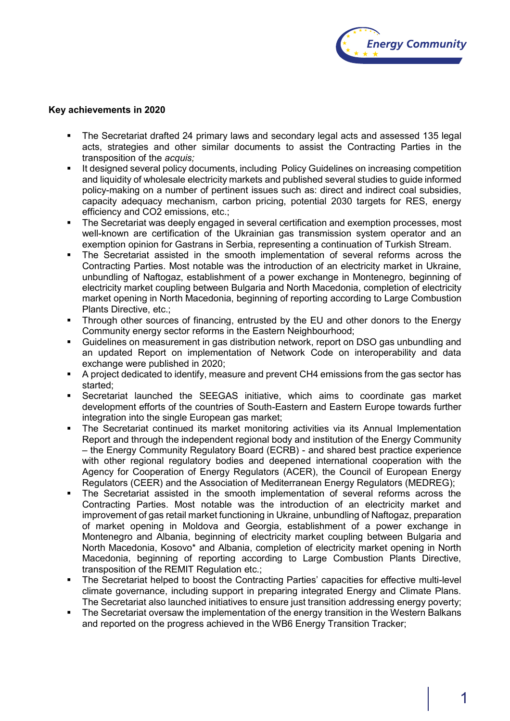

#### **Key achievements in 2020**

- The Secretariat drafted 24 primary laws and secondary legal acts and assessed 135 legal acts, strategies and other similar documents to assist the Contracting Parties in the transposition of the *acquis;*
- It designed several policy documents, including Policy Guidelines on increasing competition and liquidity of wholesale electricity markets and published several studies to guide informed policy-making on a number of pertinent issues such as: direct and indirect coal subsidies, capacity adequacy mechanism, carbon pricing, potential 2030 targets for RES, energy efficiency and CO2 emissions, etc.;
- The Secretariat was deeply engaged in several certification and exemption processes, most well-known are certification of the Ukrainian gas transmission system operator and an exemption opinion for Gastrans in Serbia, representing a continuation of Turkish Stream.
- The Secretariat assisted in the smooth implementation of several reforms across the Contracting Parties. Most notable was the introduction of an electricity market in Ukraine, unbundling of Naftogaz, establishment of a power exchange in Montenegro, beginning of electricity market coupling between Bulgaria and North Macedonia, completion of electricity market opening in North Macedonia, beginning of reporting according to Large Combustion Plants Directive, etc.;
- Through other sources of financing, entrusted by the EU and other donors to the Energy Community energy sector reforms in the Eastern Neighbourhood;
- Guidelines on measurement in gas distribution network, report on DSO gas unbundling and an updated Report on implementation of Network Code on interoperability and data exchange were published in 2020;
- A project dedicated to identify, measure and prevent CH4 emissions from the gas sector has started;
- Secretariat launched the SEEGAS initiative, which aims to coordinate gas market development efforts of the countries of South-Eastern and Eastern Europe towards further integration into the single European gas market;
- The Secretariat continued its market monitoring activities via its Annual Implementation Report and through the independent regional body and institution of the Energy Community – the Energy Community Regulatory Board (ECRB) - and shared best practice experience with other regional regulatory bodies and deepened international cooperation with the Agency for Cooperation of Energy Regulators (ACER), the Council of European Energy Regulators (CEER) and the Association of Mediterranean Energy Regulators (MEDREG);
- The Secretariat assisted in the smooth implementation of several reforms across the Contracting Parties. Most notable was the introduction of an electricity market and improvement of gas retail market functioning in Ukraine, unbundling of Naftogaz, preparation of market opening in Moldova and Georgia, establishment of a power exchange in Montenegro and Albania, beginning of electricity market coupling between Bulgaria and North Macedonia, Kosovo\* and Albania, completion of electricity market opening in North Macedonia, beginning of reporting according to Large Combustion Plants Directive, transposition of the REMIT Regulation etc.;
- The Secretariat helped to boost the Contracting Parties' capacities for effective multi-level climate governance, including support in preparing integrated Energy and Climate Plans. The Secretariat also launched initiatives to ensure just transition addressing energy poverty;
- The Secretariat oversaw the implementation of the energy transition in the Western Balkans and reported on the progress achieved in the WB6 Energy Transition Tracker;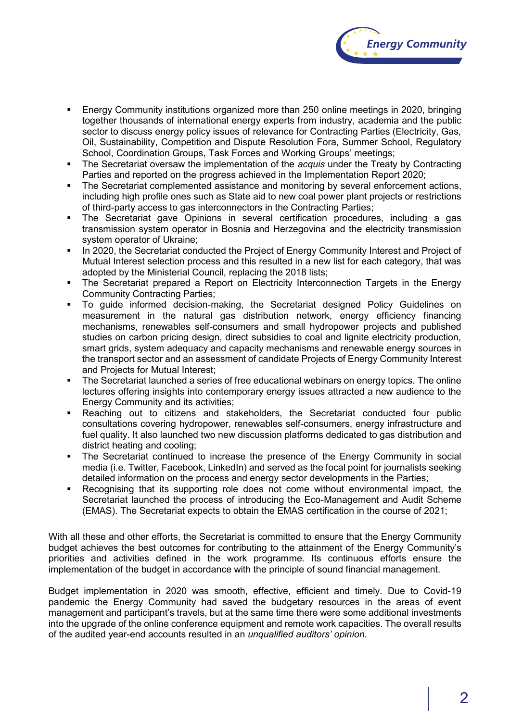

- Energy Community institutions organized more than 250 online meetings in 2020, bringing together thousands of international energy experts from industry, academia and the public sector to discuss energy policy issues of relevance for Contracting Parties (Electricity, Gas, Oil, Sustainability, Competition and Dispute Resolution Fora, Summer School, Regulatory School, Coordination Groups, Task Forces and Working Groups' meetings;
- The Secretariat oversaw the implementation of the *acquis* under the Treaty by Contracting Parties and reported on the progress achieved in the Implementation Report 2020;
- The Secretariat complemented assistance and monitoring by several enforcement actions, including high profile ones such as State aid to new coal power plant projects or restrictions of third-party access to gas interconnectors in the Contracting Parties;
- The Secretariat gave Opinions in several certification procedures, including a gas transmission system operator in Bosnia and Herzegovina and the electricity transmission system operator of Ukraine;
- In 2020, the Secretariat conducted the Project of Energy Community Interest and Project of Mutual Interest selection process and this resulted in a new list for each category, that was adopted by the Ministerial Council, replacing the 2018 lists;
- The Secretariat prepared a Report on Electricity Interconnection Targets in the Energy Community Contracting Parties;
- To guide informed decision-making, the Secretariat designed Policy Guidelines on measurement in the natural gas distribution network, energy efficiency financing mechanisms, renewables self-consumers and small hydropower projects and published studies on carbon pricing design, direct subsidies to coal and lignite electricity production, smart grids, system adequacy and capacity mechanisms and renewable energy sources in the transport sector and an assessment of candidate Projects of Energy Community Interest and Projects for Mutual Interest;
- The Secretariat launched a series of free educational webinars on energy topics. The online lectures offering insights into contemporary energy issues attracted a new audience to the Energy Community and its activities;
- Reaching out to citizens and stakeholders, the Secretariat conducted four public consultations covering hydropower, renewables self-consumers, energy infrastructure and fuel quality. It also launched two new discussion platforms dedicated to gas distribution and district heating and cooling;
- The Secretariat continued to increase the presence of the Energy Community in social media (i.e. Twitter, Facebook, LinkedIn) and served as the focal point for journalists seeking detailed information on the process and energy sector developments in the Parties;
- Recognising that its supporting role does not come without environmental impact, the Secretariat launched the process of introducing the Eco-Management and Audit Scheme (EMAS). The Secretariat expects to obtain the EMAS certification in the course of 2021;

With all these and other efforts, the Secretariat is committed to ensure that the Energy Community budget achieves the best outcomes for contributing to the attainment of the Energy Community's priorities and activities defined in the work programme. Its continuous efforts ensure the implementation of the budget in accordance with the principle of sound financial management.

Budget implementation in 2020 was smooth, effective, efficient and timely. Due to Covid-19 pandemic the Energy Community had saved the budgetary resources in the areas of event management and participant's travels, but at the same time there were some additional investments into the upgrade of the online conference equipment and remote work capacities. The overall results of the audited year-end accounts resulted in an *unqualified auditors' opinion.*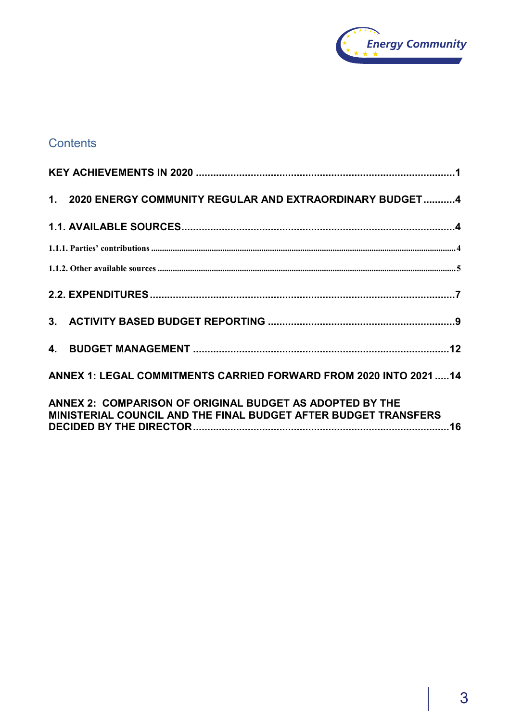

# **Contents**

| 1. 2020 ENERGY COMMUNITY REGULAR AND EXTRAORDINARY BUDGET4                                                                  |
|-----------------------------------------------------------------------------------------------------------------------------|
|                                                                                                                             |
|                                                                                                                             |
|                                                                                                                             |
|                                                                                                                             |
|                                                                                                                             |
|                                                                                                                             |
| ANNEX 1: LEGAL COMMITMENTS CARRIED FORWARD FROM 2020 INTO 2021  14                                                          |
| ANNEX 2: COMPARISON OF ORIGINAL BUDGET AS ADOPTED BY THE<br>MINISTERIAL COUNCIL AND THE FINAL BUDGET AFTER BUDGET TRANSFERS |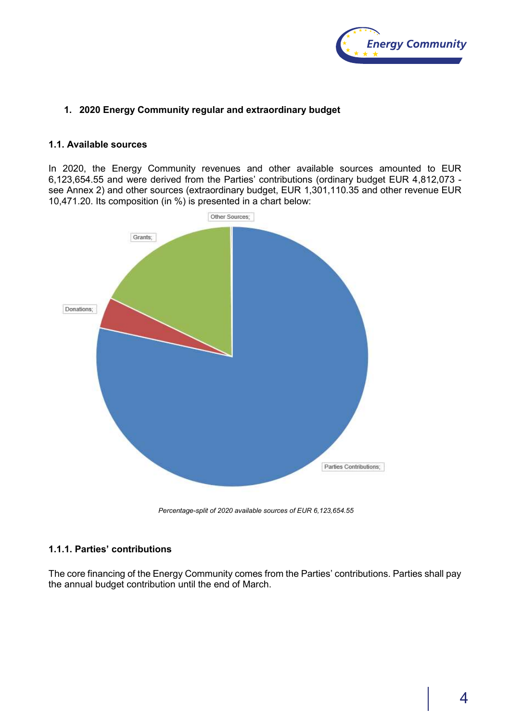

# **1. 2020 Energy Community regular and extraordinary budget**

#### **1.1. Available sources**

In 2020, the Energy Community revenues and other available sources amounted to EUR 6,123,654.55 and were derived from the Parties' contributions (ordinary budget EUR 4,812,073 see Annex 2) and other sources (extraordinary budget, EUR 1,301,110.35 and other revenue EUR 10,471.20. Its composition (in %) is presented in a chart below:



*Percentage-split of 2020 available sources of EUR 6,123,654.55*

# **1.1.1. Parties' contributions**

The core financing of the Energy Community comes from the Parties' contributions. Parties shall pay the annual budget contribution until the end of March.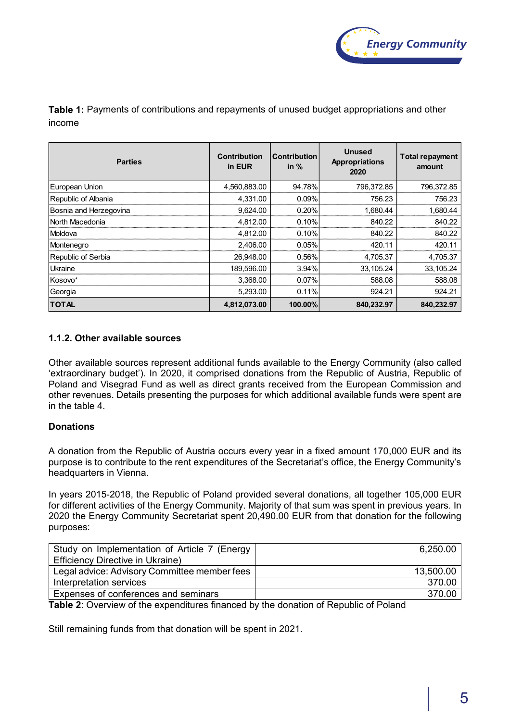

**Table 1:** Payments of contributions and repayments of unused budget appropriations and other income

| <b>Parties</b>         | <b>Contribution</b><br>in EUR | <b>Contribution</b><br>in $%$ | <b>Unused</b><br><b>Appropriations</b><br>2020 | Total repayment<br>amount |
|------------------------|-------------------------------|-------------------------------|------------------------------------------------|---------------------------|
| European Union         | 4,560,883.00                  | 94.78%                        | 796,372.85                                     | 796,372.85                |
| Republic of Albania    | 4.331.00                      | 0.09%                         | 756.23                                         | 756.23                    |
| Bosnia and Herzegovina | 9.624.00                      | 0.20%                         | 1,680.44                                       | 1,680.44                  |
| North Macedonia        | 4,812.00                      | 0.10%                         | 840.22                                         | 840.22                    |
| Moldova                | 4,812.00                      | 0.10%                         | 840.22                                         | 840.22                    |
| Montenegro             | 2,406.00                      | 0.05%                         | 420.11                                         | 420.11                    |
| Republic of Serbia     | 26,948.00                     | 0.56%                         | 4,705.37                                       | 4,705.37                  |
| Ukraine                | 189,596.00                    | 3.94%                         | 33,105.24                                      | 33,105.24                 |
| Kosovo*                | 3.368.00                      | 0.07%                         | 588.08                                         | 588.08                    |
| Georgia                | 5,293.00                      | 0.11%                         | 924.21                                         | 924.21                    |
| <b>TOTAL</b>           | 4,812,073.00                  | 100.00%                       | 840,232.97                                     | 840,232.97                |

# **1.1.2. Other available sources**

Other available sources represent additional funds available to the Energy Community (also called 'extraordinary budget'). In 2020, it comprised donations from the Republic of Austria, Republic of Poland and Visegrad Fund as well as direct grants received from the European Commission and other revenues. Details presenting the purposes for which additional available funds were spent are in the table 4.

# **Donations**

A donation from the Republic of Austria occurs every year in a fixed amount 170,000 EUR and its purpose is to contribute to the rent expenditures of the Secretariat's office, the Energy Community's headquarters in Vienna.

In years 2015-2018, the Republic of Poland provided several donations, all together 105,000 EUR for different activities of the Energy Community. Majority of that sum was spent in previous years. In 2020 the Energy Community Secretariat spent 20,490.00 EUR from that donation for the following purposes:

| Study on Implementation of Article 7 (Energy | 6,250.00  |
|----------------------------------------------|-----------|
| <b>Efficiency Directive in Ukraine)</b>      |           |
| Legal advice: Advisory Committee member fees | 13,500.00 |
| Interpretation services                      | 370.00    |
| Expenses of conferences and seminars         | 370.00    |

**Table 2**: Overview of the expenditures financed by the donation of Republic of Poland

Still remaining funds from that donation will be spent in 2021.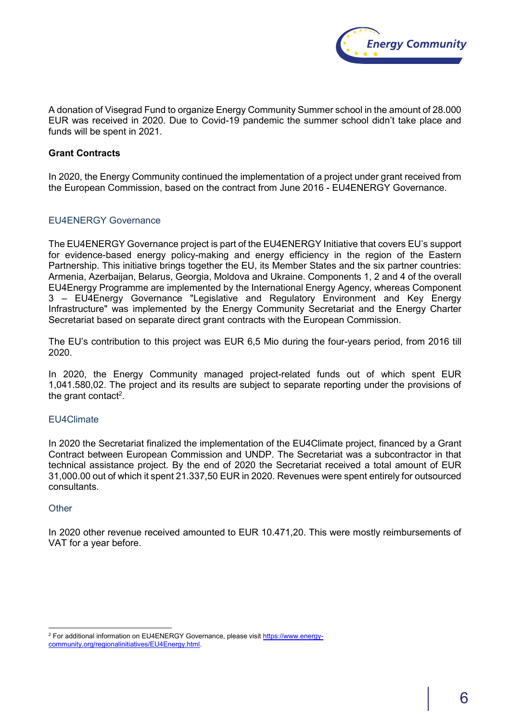

A donation of Visegrad Fund to organize Energy Community Summer school in the amount of 28.000 EUR was received in 2020. Due to Covid-19 pandemic the summer school didn't take place and funds will be spent in 2021.

## **Grant Contracts**

In 2020, the Energy Community continued the implementation of a project under grant received from the European Commission, based on the contract from June 2016 - EU4ENERGY Governance.

#### EU4ENERGY Governance

The EU4ENERGY Governance project is part of the EU4ENERGY Initiative that covers EU's support for evidence-based energy policy-making and energy efficiency in the region of the Eastern Partnership. This initiative brings together the EU, its Member States and the six partner countries: Armenia, Azerbaijan, Belarus, Georgia, Moldova and Ukraine. Components 1, 2 and 4 of the overall EU4Energy Programme are implemented by the International Energy Agency, whereas Component 3 – EU4Energy Governance "Legislative and Regulatory Environment and Key Energy Infrastructure" was implemented by the Energy Community Secretariat and the Energy Charter Secretariat based on separate direct grant contracts with the European Commission.

The EU's contribution to this project was EUR 6,5 Mio during the four-years period, from 2016 till 2020.

In 2020, the Energy Community managed project-related funds out of which spent EUR 1,041.580,02. The project and its results are subject to separate reporting under the provisions of the grant contact<sup>2</sup>.

# EU4Climate

In 2020 the Secretariat finalized the implementation of the EU4Climate project, financed by a Grant Contract between European Commission and UNDP. The Secretariat was a subcontractor in that technical assistance project. By the end of 2020 the Secretariat received a total amount of EUR 31,000.00 out of which it spent 21.337,50 EUR in 2020. Revenues were spent entirely for outsourced consultants.

#### **Other**

 $\overline{a}$ 

In 2020 other revenue received amounted to EUR 10.471,20. This were mostly reimbursements of VAT for a year before.

<sup>&</sup>lt;sup>2</sup> For additional information on EU4ENERGY Governance, please visit https://www.energycommunity.org/regionalinitiatives/EU4Energy.html.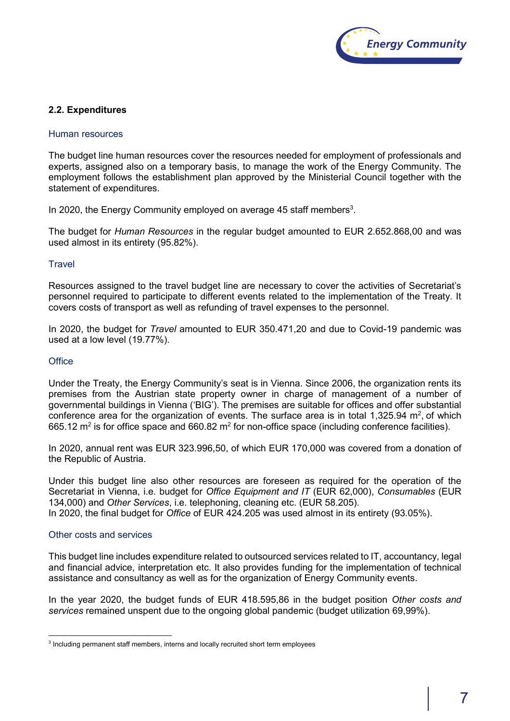

# **2.2. Expenditures**

#### Human resources

The budget line human resources cover the resources needed for employment of professionals and experts, assigned also on a temporary basis, to manage the work of the Energy Community. The employment follows the establishment plan approved by the Ministerial Council together with the statement of expenditures.

In 2020, the Energy Community employed on average 45 staff members<sup>3</sup>.

The budget for *Human Resources* in the regular budget amounted to EUR 2.652.868,00 and was used almost in its entirety (95.82%).

#### **Travel**

Resources assigned to the travel budget line are necessary to cover the activities of Secretariat's personnel required to participate to different events related to the implementation of the Treaty. It covers costs of transport as well as refunding of travel expenses to the personnel.

In 2020, the budget for *Travel* amounted to EUR 350.471,20 and due to Covid-19 pandemic was used at a low level (19.77%).

#### **Office**

Under the Treaty, the Energy Community's seat is in Vienna. Since 2006, the organization rents its premises from the Austrian state property owner in charge of management of a number of governmental buildings in Vienna ('BIG'). The premises are suitable for offices and offer substantial conference area for the organization of events. The surface area is in total 1,325.94  $m^2$ , of which 665.12 m<sup>2</sup> is for office space and 660.82 m<sup>2</sup> for non-office space (including conference facilities).

In 2020, annual rent was EUR 323.996,50, of which EUR 170,000 was covered from a donation of the Republic of Austria.

Under this budget line also other resources are foreseen as required for the operation of the Secretariat in Vienna, i.e. budget for *Office Equipment and IT* (EUR 62,000), *Consumables* (EUR 134,000) and *Other Services*, i.e. telephoning, cleaning etc. (EUR 58.205). In 2020, the final budget for *Office* of EUR 424.205 was used almost in its entirety (93.05%).

#### Other costs and services

This budget line includes expenditure related to outsourced services related to IT, accountancy, legal and financial advice, interpretation etc. It also provides funding for the implementation of technical assistance and consultancy as well as for the organization of Energy Community events.

In the year 2020, the budget funds of EUR 418.595,86 in the budget position *Other costs and services* remained unspent due to the ongoing global pandemic (budget utilization 69,99%).

 $\overline{a}$  $\,3$  Including permanent staff members, interns and locally recruited short term employees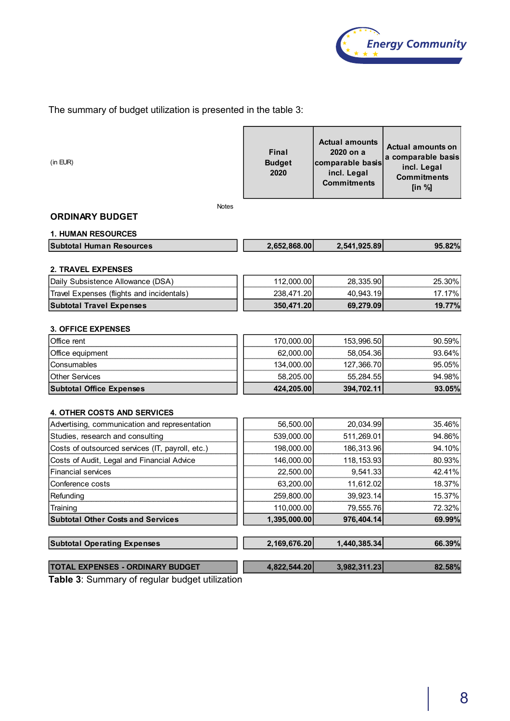

The summary of budget utilization is presented in the table 3:

| (in EUR)                                         | Final<br><b>Budget</b><br>2020 | <b>Actual amounts</b><br>2020 on a<br>comparable basis<br>incl. Legal<br><b>Commitments</b> | <b>Actual amounts on</b><br>a comparable basis<br>incl. Legal<br><b>Commitments</b><br>[in $%$ ] |  |
|--------------------------------------------------|--------------------------------|---------------------------------------------------------------------------------------------|--------------------------------------------------------------------------------------------------|--|
| <b>Notes</b>                                     |                                |                                                                                             |                                                                                                  |  |
| <b>ORDINARY BUDGET</b>                           |                                |                                                                                             |                                                                                                  |  |
| <b>1. HUMAN RESOURCES</b>                        |                                |                                                                                             |                                                                                                  |  |
| <b>Subtotal Human Resources</b>                  | 2,652,868.00                   | 2,541,925.89                                                                                | 95.82%                                                                                           |  |
|                                                  |                                |                                                                                             |                                                                                                  |  |
| <b>2. TRAVEL EXPENSES</b>                        |                                |                                                                                             |                                                                                                  |  |
| Daily Subsistence Allowance (DSA)                | 112,000.00                     | 28,335.90                                                                                   | 25.30%                                                                                           |  |
| Travel Expenses (flights and incidentals)        | 238,471.20                     | 40,943.19                                                                                   | 17.17%                                                                                           |  |
| <b>Subtotal Travel Expenses</b>                  | 350,471.20                     | 69,279.09                                                                                   | 19.77%                                                                                           |  |
| <b>3. OFFICE EXPENSES</b>                        |                                |                                                                                             |                                                                                                  |  |
| Office rent                                      | 170,000.00                     | 153,996.50                                                                                  | 90.59%                                                                                           |  |
| Office equipment                                 | 62,000.00                      | 58,054.36                                                                                   | 93.64%                                                                                           |  |
| Consumables                                      | 134,000.00                     | 127,366.70                                                                                  | 95.05%                                                                                           |  |
| <b>Other Services</b>                            | 58,205.00                      | 55,284.55                                                                                   | 94.98%                                                                                           |  |
| <b>Subtotal Office Expenses</b>                  | 424,205.00                     | 394,702.11                                                                                  | 93.05%                                                                                           |  |
|                                                  |                                |                                                                                             |                                                                                                  |  |
| <b>4. OTHER COSTS AND SERVICES</b>               |                                |                                                                                             |                                                                                                  |  |
| Advertising, communication and representation    | 56,500.00                      | 20,034.99                                                                                   | 35.46%                                                                                           |  |
| Studies, research and consulting                 | 539,000.00                     | 511,269.01                                                                                  | 94.86%                                                                                           |  |
| Costs of outsourced services (IT, payroll, etc.) | 198,000.00                     | 186,313.96                                                                                  | 94.10%                                                                                           |  |
| Costs of Audit, Legal and Financial Advice       | 146,000.00                     | 118, 153.93                                                                                 | 80.93%                                                                                           |  |
| <b>Financial services</b>                        | 22,500.00                      | 9,541.33                                                                                    | 42.41%                                                                                           |  |
| Conference costs                                 | 63,200.00                      | 11,612.02                                                                                   | 18.37%                                                                                           |  |
| Refunding                                        | 259,800.00                     | 39,923.14                                                                                   | 15.37%                                                                                           |  |
| Training                                         | 110,000.00                     | 79,555.76                                                                                   | 72.32%                                                                                           |  |
| <b>Subtotal Other Costs and Services</b>         | 1,395,000.00                   | 976,404.14                                                                                  | 69.99%                                                                                           |  |
|                                                  |                                |                                                                                             |                                                                                                  |  |
| <b>Subtotal Operating Expenses</b>               | 2,169,676.20                   | 1,440,385.34                                                                                | 66.39%                                                                                           |  |
| <b>TOTAL EXPENSES - ORDINARY BUDGET</b>          | 4,822,544.20                   | 3,982,311.23                                                                                | 82.58%                                                                                           |  |
|                                                  |                                |                                                                                             |                                                                                                  |  |

**Table 3**: Summary of regular budget utilization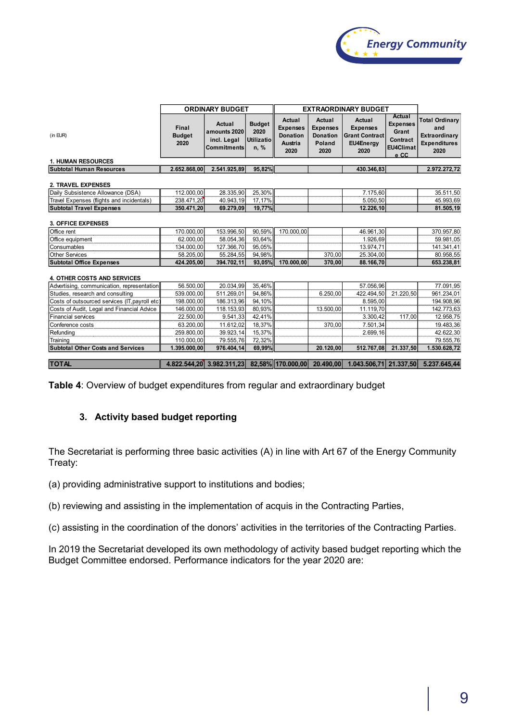

|                                               |                                | <b>ORDINARY BUDGET</b>                                      |                                             | <b>EXTRAORDINARY BUDGET</b>                                     |                                                                              |                                                                         |                                                                     |                                                                                           |
|-----------------------------------------------|--------------------------------|-------------------------------------------------------------|---------------------------------------------|-----------------------------------------------------------------|------------------------------------------------------------------------------|-------------------------------------------------------------------------|---------------------------------------------------------------------|-------------------------------------------------------------------------------------------|
| (in EUR)                                      | Final<br><b>Budget</b><br>2020 | Actual<br>amounts 2020<br>incl. Legal<br><b>Commitments</b> | <b>Budget</b><br>2020<br>Utilizatio<br>n, % | Actual<br><b>Expenses</b><br><b>Donation</b><br>Austria<br>2020 | <b>Actual</b><br><b>Expenses</b><br><b>Donation</b><br><b>Poland</b><br>2020 | Actual<br><b>Expenses</b><br><b>Grant Contract</b><br>EU4Energy<br>2020 | Actual<br><b>Expenses</b><br>Grant<br>Contract<br>EU4Climat<br>e CC | <b>Total Ordinary</b><br>and<br>Extraordinary<br><b>Expenditures</b><br>2020              |
| <b>1. HUMAN RESOURCES</b>                     |                                |                                                             |                                             |                                                                 |                                                                              |                                                                         |                                                                     |                                                                                           |
| <b>Subtotal Human Resources</b>               | 2.652.868,00                   | 2.541.925,89                                                | 95,82%                                      |                                                                 |                                                                              | 430.346,83                                                              |                                                                     | 2.972.272,72                                                                              |
| <b>2. TRAVEL EXPENSES</b>                     |                                |                                                             |                                             |                                                                 |                                                                              |                                                                         |                                                                     |                                                                                           |
| Daily Subsistence Allowance (DSA)             | 112.000,00                     | 28.335,90                                                   | 25,30%                                      |                                                                 |                                                                              | 7.175,60                                                                |                                                                     | 35.511,50                                                                                 |
| Travel Expenses (flights and incidentals)     | 238.471,20                     | 40.943,19                                                   | 17,17%                                      |                                                                 |                                                                              | 5.050,50                                                                |                                                                     | 45.993,69                                                                                 |
| <b>Subtotal Travel Expenses</b>               | 350.471,20                     | 69.279,09                                                   | 19,77%                                      |                                                                 |                                                                              | 12.226,10                                                               |                                                                     | 81.505,19                                                                                 |
| <b>3. OFFICE EXPENSES</b>                     |                                |                                                             |                                             |                                                                 |                                                                              |                                                                         |                                                                     |                                                                                           |
| Office rent                                   | 170.000,00                     | 153.996,50                                                  | 90.59%                                      | 170.000,00                                                      |                                                                              | 46.961,30                                                               |                                                                     | 370.957,80                                                                                |
| Office equipment                              | 62.000,00                      | 58.054,36                                                   | 93,64%                                      |                                                                 |                                                                              | 1.926,69                                                                |                                                                     | 59.981,05                                                                                 |
| Consumables                                   | 134.000,00                     | 127.366,70                                                  | 95,05%                                      |                                                                 |                                                                              | 13.974,71                                                               |                                                                     | 141.341,41                                                                                |
| <b>Other Services</b>                         | 58.205,00                      | 55.284,55                                                   | 94,98%                                      |                                                                 | 370,00                                                                       | 25.304,00                                                               |                                                                     | 80.958,55                                                                                 |
| <b>Subtotal Office Expenses</b>               | 424.205,00                     | 394.702,11                                                  | 93,05%                                      | 170.000,00                                                      | 370,00                                                                       | 88.166,70                                                               |                                                                     | 653.238,81                                                                                |
| 4. OTHER COSTS AND SERVICES                   |                                |                                                             |                                             |                                                                 |                                                                              |                                                                         |                                                                     |                                                                                           |
| Advertising, communication, representation    | 56.500,00                      | 20.034,99                                                   | 35.46%                                      |                                                                 |                                                                              | 57.056,96                                                               |                                                                     | 77.091,95                                                                                 |
| Studies, research and consulting              | 539.000,00                     | 511.269,01                                                  | 94,86%                                      |                                                                 | 6.250.00                                                                     | 422.494,50                                                              | 21.220.50                                                           | 961.234,01                                                                                |
| Costs of outsourced services (IT, payroll etc | 198.000,00                     | 186.313,96                                                  | 94,10%                                      |                                                                 |                                                                              | 8.595,00                                                                |                                                                     | 194.908,96                                                                                |
| Costs of Audit, Legal and Financial Advice    | 146.000,00                     | 118.153,93                                                  | 80,93%                                      |                                                                 | 13.500,00                                                                    | 11.119,70                                                               |                                                                     | 142.773,63                                                                                |
| <b>Financial services</b>                     | 22.500,00                      | 9.541,33                                                    | 42,41%                                      |                                                                 |                                                                              | 3.300,42                                                                | 117,00                                                              | 12.958,75                                                                                 |
| Conference costs                              | 63.200,00                      | 11.612,02                                                   | 18,37%                                      |                                                                 | 370.00                                                                       | 7.501,34                                                                |                                                                     | 19.483,36                                                                                 |
| Refunding                                     | 259.800,00                     | 39.923,14                                                   | 15,37%                                      |                                                                 |                                                                              | 2.699,16                                                                |                                                                     | 42.622,30                                                                                 |
| Training                                      | 110.000,00                     | 79.555,76                                                   | 72,32%                                      |                                                                 |                                                                              |                                                                         |                                                                     | 79.555,76                                                                                 |
| <b>Subtotal Other Costs and Services</b>      | 1.395.000,00                   | 976.404,14                                                  | 69,99%                                      |                                                                 | 20.120,00                                                                    | 512.767,08                                                              | 21.337,50                                                           | 1.530.628,72                                                                              |
| <b>TOTAL</b>                                  |                                |                                                             |                                             |                                                                 |                                                                              |                                                                         |                                                                     | 4.822.544,20 3.982.311,23 82,58% 170.000,00 20.490,00 1.043.506,71 21.337,50 5.237.645,44 |

**Table 4**: Overview of budget expenditures from regular and extraordinary budget

# **3. Activity based budget reporting**

The Secretariat is performing three basic activities (A) in line with Art 67 of the Energy Community Treaty:

(a) providing administrative support to institutions and bodies;

(b) reviewing and assisting in the implementation of acquis in the Contracting Parties,

(c) assisting in the coordination of the donors' activities in the territories of the Contracting Parties.

In 2019 the Secretariat developed its own methodology of activity based budget reporting which the Budget Committee endorsed. Performance indicators for the year 2020 are: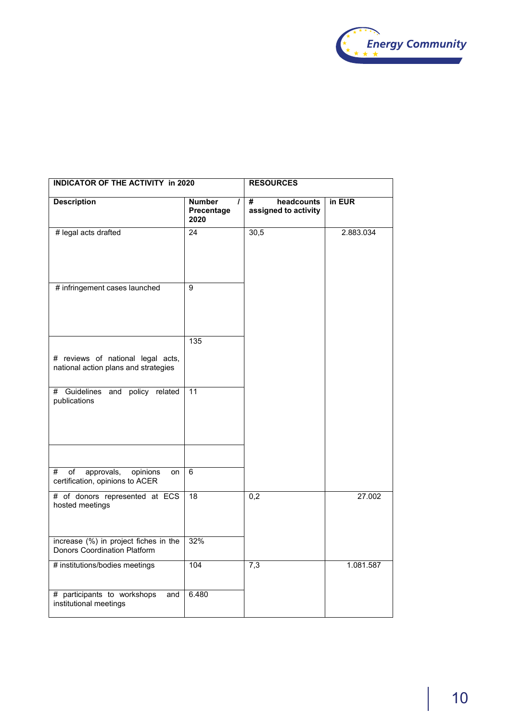

| <b>INDICATOR OF THE ACTIVITY in 2020</b>                                                |                                                 | <b>RESOURCES</b>                        |           |  |
|-----------------------------------------------------------------------------------------|-------------------------------------------------|-----------------------------------------|-----------|--|
| <b>Description</b>                                                                      | <b>Number</b><br>$\prime$<br>Precentage<br>2020 | #<br>headcounts<br>assigned to activity | in EUR    |  |
| # legal acts drafted                                                                    | $\overline{24}$                                 | 30,5                                    | 2.883.034 |  |
| # infringement cases launched                                                           | 9                                               |                                         |           |  |
| # reviews of national legal acts,<br>national action plans and strategies               | 135                                             |                                         |           |  |
| # Guidelines and policy related<br>publications                                         | 11                                              |                                         |           |  |
| #<br>$\overline{of}$<br>approvals,<br>opinions<br>on<br>certification, opinions to ACER | $\overline{6}$                                  |                                         |           |  |
| # of donors represented at ECS<br>hosted meetings                                       | 18                                              | $\overline{0,2}$                        | 27.002    |  |
| increase (%) in project fiches in the<br>Donors Coordination Platform                   | 32%                                             |                                         |           |  |
| # institutions/bodies meetings                                                          | 104                                             | 7,3                                     | 1.081.587 |  |
| # participants to workshops<br>and<br>institutional meetings                            | 6.480                                           |                                         |           |  |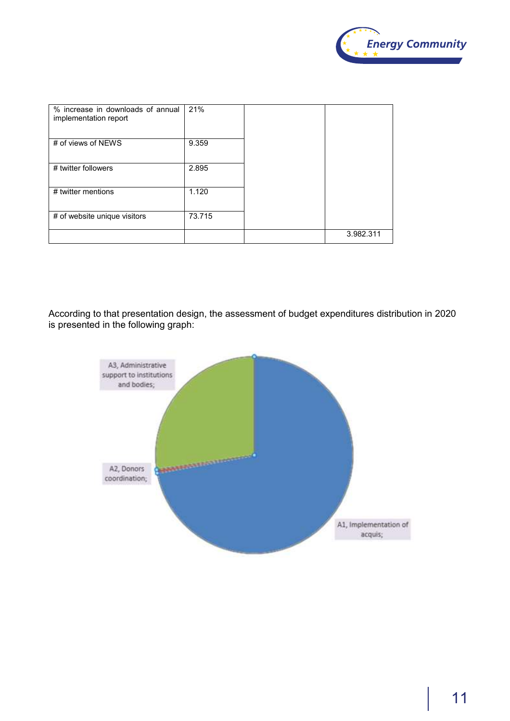

| % increase in downloads of annual<br>implementation report | 21%    |           |
|------------------------------------------------------------|--------|-----------|
| # of views of NEWS                                         | 9.359  |           |
| # twitter followers                                        | 2.895  |           |
| # twitter mentions                                         | 1.120  |           |
| # of website unique visitors                               | 73.715 |           |
|                                                            |        | 3.982.311 |

According to that presentation design, the assessment of budget expenditures distribution in 2020 is presented in the following graph:

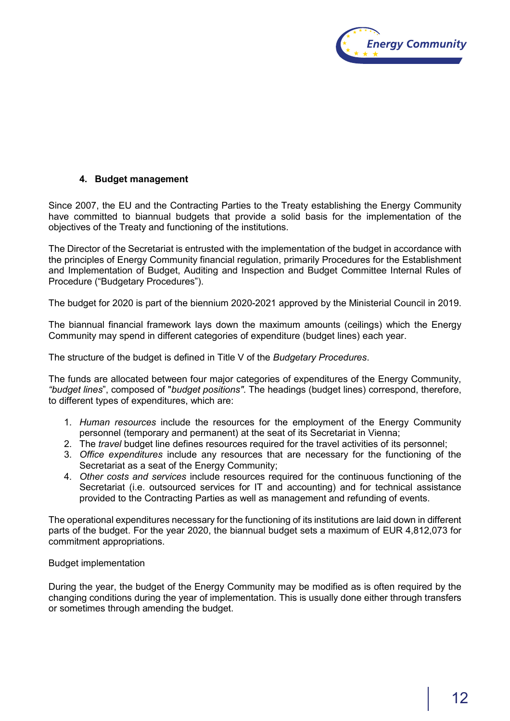

# **4. Budget management**

Since 2007, the EU and the Contracting Parties to the Treaty establishing the Energy Community have committed to biannual budgets that provide a solid basis for the implementation of the objectives of the Treaty and functioning of the institutions.

The Director of the Secretariat is entrusted with the implementation of the budget in accordance with the principles of Energy Community financial regulation, primarily Procedures for the Establishment and Implementation of Budget, Auditing and Inspection and Budget Committee Internal Rules of Procedure ("Budgetary Procedures").

The budget for 2020 is part of the biennium 2020-2021 approved by the Ministerial Council in 2019.

The biannual financial framework lays down the maximum amounts (ceilings) which the Energy Community may spend in different categories of expenditure (budget lines) each year.

The structure of the budget is defined in Title V of the *Budgetary Procedures*.

The funds are allocated between four major categories of expenditures of the Energy Community, *"budget lines*", composed of "*budget positions"*. The headings (budget lines) correspond, therefore, to different types of expenditures, which are:

- 1. *Human resources* include the resources for the employment of the Energy Community personnel (temporary and permanent) at the seat of its Secretariat in Vienna;
- 2. The *travel* budget line defines resources required for the travel activities of its personnel;
- 3. *Office expenditures* include any resources that are necessary for the functioning of the Secretariat as a seat of the Energy Community;
- 4. *Other costs and services* include resources required for the continuous functioning of the Secretariat (i.e. outsourced services for IT and accounting) and for technical assistance provided to the Contracting Parties as well as management and refunding of events.

The operational expenditures necessary for the functioning of its institutions are laid down in different parts of the budget. For the year 2020, the biannual budget sets a maximum of EUR 4,812,073 for commitment appropriations.

#### Budget implementation

During the year, the budget of the Energy Community may be modified as is often required by the changing conditions during the year of implementation. This is usually done either through transfers or sometimes through amending the budget.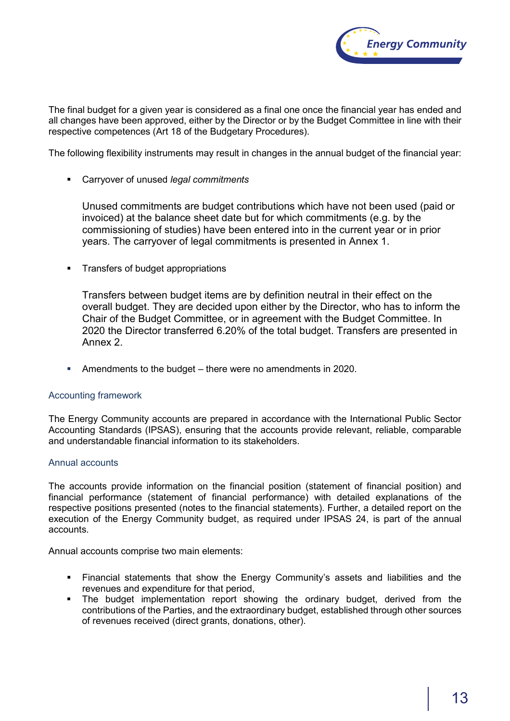

The final budget for a given year is considered as a final one once the financial year has ended and all changes have been approved, either by the Director or by the Budget Committee in line with their respective competences (Art 18 of the Budgetary Procedures).

The following flexibility instruments may result in changes in the annual budget of the financial year:

Carryover of unused *legal commitments*

Unused commitments are budget contributions which have not been used (paid or invoiced) at the balance sheet date but for which commitments (e.g. by the commissioning of studies) have been entered into in the current year or in prior years. The carryover of legal commitments is presented in Annex 1.

Transfers of budget appropriations

Transfers between budget items are by definition neutral in their effect on the overall budget. They are decided upon either by the Director, who has to inform the Chair of the Budget Committee, or in agreement with the Budget Committee. In 2020 the Director transferred 6.20% of the total budget. Transfers are presented in Annex 2.

Amendments to the budget – there were no amendments in 2020.

# Accounting framework

The Energy Community accounts are prepared in accordance with the International Public Sector Accounting Standards (IPSAS), ensuring that the accounts provide relevant, reliable, comparable and understandable financial information to its stakeholders.

#### Annual accounts

The accounts provide information on the financial position (statement of financial position) and financial performance (statement of financial performance) with detailed explanations of the respective positions presented (notes to the financial statements). Further, a detailed report on the execution of the Energy Community budget, as required under IPSAS 24, is part of the annual accounts.

Annual accounts comprise two main elements:

- Financial statements that show the Energy Community's assets and liabilities and the revenues and expenditure for that period,
- The budget implementation report showing the ordinary budget, derived from the contributions of the Parties, and the extraordinary budget, established through other sources of revenues received (direct grants, donations, other).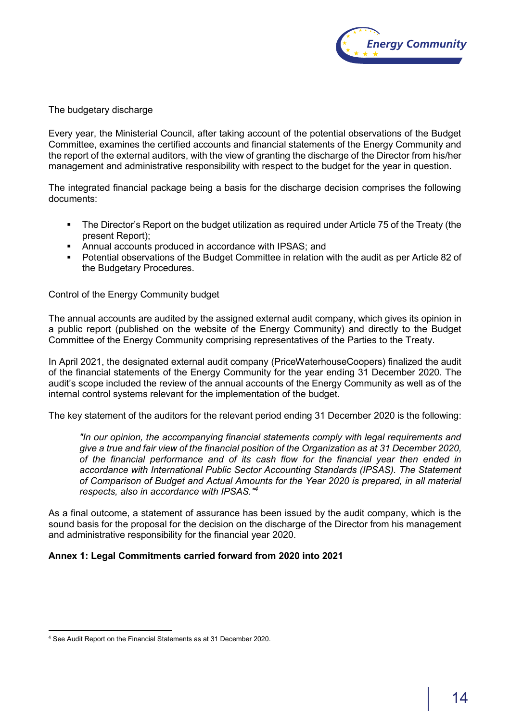

The budgetary discharge

Every year, the Ministerial Council, after taking account of the potential observations of the Budget Committee, examines the certified accounts and financial statements of the Energy Community and the report of the external auditors, with the view of granting the discharge of the Director from his/her management and administrative responsibility with respect to the budget for the year in question.

The integrated financial package being a basis for the discharge decision comprises the following documents:

- The Director's Report on the budget utilization as required under Article 75 of the Treaty (the present Report);
- Annual accounts produced in accordance with IPSAS; and
- Potential observations of the Budget Committee in relation with the audit as per Article 82 of the Budgetary Procedures.

Control of the Energy Community budget

The annual accounts are audited by the assigned external audit company, which gives its opinion in a public report (published on the website of the Energy Community) and directly to the Budget Committee of the Energy Community comprising representatives of the Parties to the Treaty.

In April 2021, the designated external audit company (PriceWaterhouseCoopers) finalized the audit of the financial statements of the Energy Community for the year ending 31 December 2020. The audit's scope included the review of the annual accounts of the Energy Community as well as of the internal control systems relevant for the implementation of the budget.

The key statement of the auditors for the relevant period ending 31 December 2020 is the following:

*"In our opinion, the accompanying financial statements comply with legal requirements and give a true and fair view of the financial position of the Organization as at 31 December 2020, of the financial performance and of its cash flow for the financial year then ended in accordance with International Public Sector Accounting Standards (IPSAS). The Statement of Comparison of Budget and Actual Amounts for the Year 2020 is prepared, in all material respects, also in accordance with IPSAS." 4*

As a final outcome, a statement of assurance has been issued by the audit company, which is the sound basis for the proposal for the decision on the discharge of the Director from his management and administrative responsibility for the financial year 2020.

# **Annex 1: Legal Commitments carried forward from 2020 into 2021**

 $\overline{a}$ <sup>4</sup> See Audit Report on the Financial Statements as at 31 December 2020.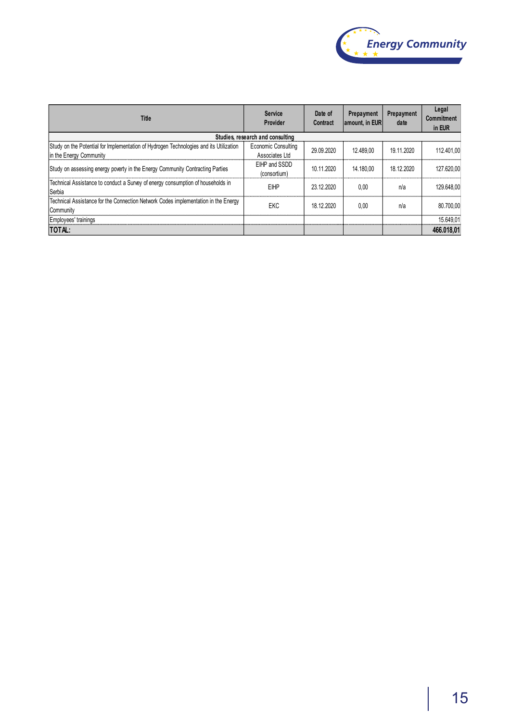

| <b>Title</b>                                                                                                      | Service<br>Provider                           | Date of<br><b>Contract</b> | Prepayment<br>amount, in EUR | Prepayment<br>date | Legal<br><b>Commitment</b><br>in EUR |
|-------------------------------------------------------------------------------------------------------------------|-----------------------------------------------|----------------------------|------------------------------|--------------------|--------------------------------------|
|                                                                                                                   | Studies, research and consulting              |                            |                              |                    |                                      |
| Study on the Potential for Implementation of Hydrogen Technologies and its Utilization<br>In the Energy Community | <b>Economic Consulting</b><br>Associates I td | 29.09.2020                 | 12.489.00                    | 19.11.2020         | 112.401.00                           |
| Study on assessing energy poverty in the Energy Community Contracting Parties                                     | EIHP and SSDD<br>(consortium)                 | 10.11.2020                 | 14.180.00                    | 18.12.2020         | 127.620.00                           |
| Technical Assistance to conduct a Survey of energy consumption of households in<br>Serbia                         | <b>EIHP</b>                                   | 23.12.2020                 | 0.00                         | n/a                | 129.648.00                           |
| Technical Assistance for the Connection Network Codes implementation in the Energy<br>Community                   | <b>EKC</b>                                    | 18.12.2020                 | 0.00                         | n/a                | 80.700.00                            |
| Employees' trainings                                                                                              |                                               |                            |                              |                    | 15.649.01                            |
| TOTAL:                                                                                                            |                                               |                            |                              |                    | 466.018,01                           |